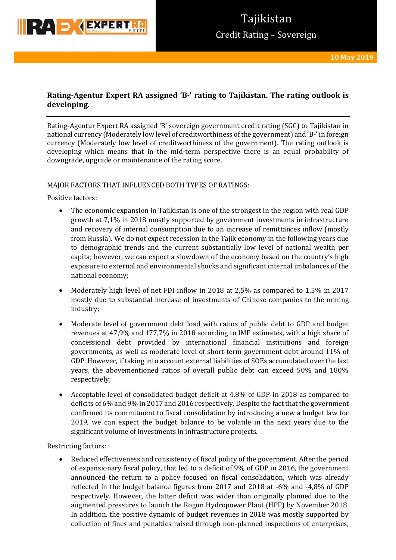

# **Rating-Agentur Expert RA assigned 'B-' rating to Tajikistan. The rating outlook is developing.**

Rating-Agentur Expert RA assigned 'B' sovereign government credit rating (SGC) to Tajikistan in national currency (Moderately low level of creditworthiness of the government) and 'B-' in foreign currency (Moderately low level of creditworthiness of the government). The rating outlook is developing which means that in the mid-term perspective there is an equal probability of downgrade, upgrade or maintenance of the rating score.

### MAJOR FACTORS THAT INFLUENCED BOTH TYPES OF RATINGS:

Positive factors:

- The economic expansion in Tajikistan is one of the strongest in the region with real GDP growth at 7,1% in 2018 mostly supported by government investments in infrastructure and recovery of internal consumption due to an increase of remittances inflow (mostly from Russia). We do not expect recession in the Tajik economy in the following years due to demographic trends and the current substantially low level of national wealth per capita; however, we can expect a slowdown of the economy based on the country's high exposure to external and environmental shocks and significant internal imbalances of the national economy;
- Moderately high level of net FDI inflow in 2018 at 2,5% as compared to 1,5% in 2017 mostly due to substantial increase of investments of Chinese companies to the mining industry;
- Moderate level of government debt load with ratios of public debt to GDP and budget revenues at 47,9% and 177,7% in 2018 according to IMF estimates, with a high share of concessional debt provided by international financial institutions and foreign governments, as well as moderate level of short-term government debt around 11% of GDP. However, if taking into account external liabilities of SOEs accumulated over the last years, the abovementioned ratios of overall public debt can exceed 50% and 180% respectively;
- Acceptable level of consolidated budget deficit at 4,8% of GDP in 2018 as compared to deficits of 6% and 9% in 2017 and 2016 respectively. Despite the fact that the government confirmed its commitment to fiscal consolidation by introducing a new a budget law for 2019, we can expect the budget balance to be volatile in the next years due to the significant volume of investments in infrastructure projects.

Restricting factors:

 Reduced effectiveness and consistency of fiscal policy of the government. After the period of expansionary fiscal policy, that led to a deficit of 9% of GDP in 2016, the government announced the return to a policy focused on fiscal consolidation, which was already reflected in the budget balance figures from 2017 and 2018 at -6% and -4,8% of GDP respectively. However, the latter deficit was wider than originally planned due to the augmented pressures to launch the Rogun Hydropower Plant (HPP) by November 2018. In addition, the positive dynamic of budget revenues in 2018 was mostly supported by collection of fines and penalties raised through non-planned inspections of enterprises,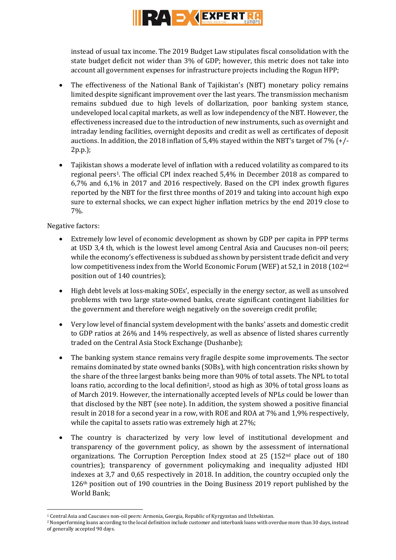

instead of usual tax income. The 2019 Budget Law stipulates fiscal consolidation with the state budget deficit not wider than 3% of GDP; however, this metric does not take into account all government expenses for infrastructure projects including the Rogun HPP;

- The effectiveness of the National Bank of Tajikistan's (NBT) monetary policy remains limited despite significant improvement over the last years. The transmission mechanism remains subdued due to high levels of dollarization, poor banking system stance, undeveloped local capital markets, as well as low independency of the NBT. However, the effectiveness increased due to the introduction of new instruments, such as overnight and intraday lending facilities, overnight deposits and credit as well as certificates of deposit auctions. In addition, the 2018 inflation of 5,4% stayed within the NBT's target of 7% (+/- 2p.p.);
- Tajikistan shows a moderate level of inflation with a reduced volatility as compared to its regional peers1. The official CPI index reached 5,4% in December 2018 as compared to 6,7% and 6,1% in 2017 and 2016 respectively. Based on the CPI index growth figures reported by the NBT for the first three months of 2019 and taking into account high expo sure to external shocks, we can expect higher inflation metrics by the end 2019 close to 7%.

Negative factors:

**.** 

- Extremely low level of economic development as shown by GDP per capita in PPP terms at USD 3,4 th, which is the lowest level among Central Asia and Caucuses non-oil peers; while the economy's effectiveness is subdued as shown by persistent trade deficit and very low competitiveness index from the World Economic Forum (WEF) at 52,1 in 2018 (102nd position out of 140 countries);
- High debt levels at loss-making SOEs', especially in the energy sector, as well as unsolved problems with two large state-owned banks, create significant contingent liabilities for the government and therefore weigh negatively on the sovereign credit profile;
- Very low level of financial system development with the banks' assets and domestic credit to GDP ratios at 26% and 14% respectively, as well as absence of listed shares currently traded on the Central Asia Stock Exchange (Dushanbe);
- The banking system stance remains very fragile despite some improvements. The sector remains dominated by state owned banks (SOBs), with high concentration risks shown by the share of the three largest banks being more than 90% of total assets. The NPL to total loans ratio, according to the local definition<sup>2</sup>, stood as high as 30% of total gross loans as of March 2019. However, the internationally accepted levels of NPLs could be lower than that disclosed by the NBT (see note). In addition, the system showed a positive financial result in 2018 for a second year in a row, with ROE and ROA at 7% and 1,9% respectively, while the capital to assets ratio was extremely high at 27%;
- The country is characterized by very low level of institutional development and transparency of the government policy, as shown by the assessment of international organizations. The Corruption Perception Index stood at 25 (152nd place out of 180 countries); transparency of government policymaking and inequality adjusted HDI indexes at 3,7 and 0,65 respectively in 2018. In addition, the country occupied only the 126th position out of 190 countries in the Doing Business 2019 report published by the World Bank;

<sup>1</sup> Central Asia and Caucuses non-oil peers: Armenia, Georgia, Republic of Kyrgyzstan and Uzbekistan.

<sup>2</sup> Nonperforming loans according to the local definition include customer and interbank loans with overdue more than 30 days, instead of generally accepted 90 days.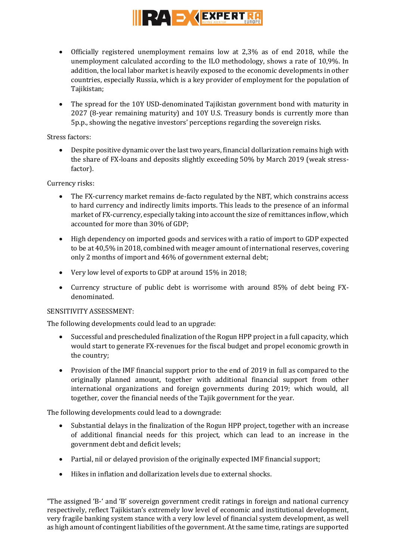

- Officially registered unemployment remains low at 2,3% as of end 2018, while the unemployment calculated according to the ILO methodology, shows a rate of 10,9%. In addition, the local labor market is heavily exposed to the economic developments in other countries, especially Russia, which is a key provider of employment for the population of Tajikistan;
- The spread for the 10Y USD-denominated Tajikistan government bond with maturity in 2027 (8-year remaining maturity) and 10Y U.S. Treasury bonds is currently more than 5p.p., showing the negative investors' perceptions regarding the sovereign risks.

Stress factors:

 Despite positive dynamic over the last two years, financial dollarization remains high with the share of FX-loans and deposits slightly exceeding 50% by March 2019 (weak stressfactor).

Currency risks:

- The FX-currency market remains de-facto regulated by the NBT, which constrains access to hard currency and indirectly limits imports. This leads to the presence of an informal market of FX-currency, especially taking into account the size of remittances inflow, which accounted for more than 30% of GDP;
- High dependency on imported goods and services with a ratio of import to GDP expected to be at 40,5% in 2018, combined with meager amount of international reserves, covering only 2 months of import and 46% of government external debt;
- Very low level of exports to GDP at around 15% in 2018;
- Currency structure of public debt is worrisome with around 85% of debt being FXdenominated.

### SENSITIVITY ASSESSMENT:

The following developments could lead to an upgrade:

- Successful and prescheduled finalization of the Rogun HPP project in a full capacity, which would start to generate FX-revenues for the fiscal budget and propel economic growth in the country;
- Provision of the IMF financial support prior to the end of 2019 in full as compared to the originally planned amount, together with additional financial support from other international organizations and foreign governments during 2019; which would, all together, cover the financial needs of the Tajik government for the year.

The following developments could lead to a downgrade:

- Substantial delays in the finalization of the Rogun HPP project, together with an increase of additional financial needs for this project, which can lead to an increase in the government debt and deficit levels;
- Partial, nil or delayed provision of the originally expected IMF financial support;
- Hikes in inflation and dollarization levels due to external shocks.

"The assigned 'B-' and 'B' sovereign government credit ratings in foreign and national currency respectively, reflect Tajikistan's extremely low level of economic and institutional development, very fragile banking system stance with a very low level of financial system development, as well as high amount of contingent liabilities of the government. At the same time, ratings are supported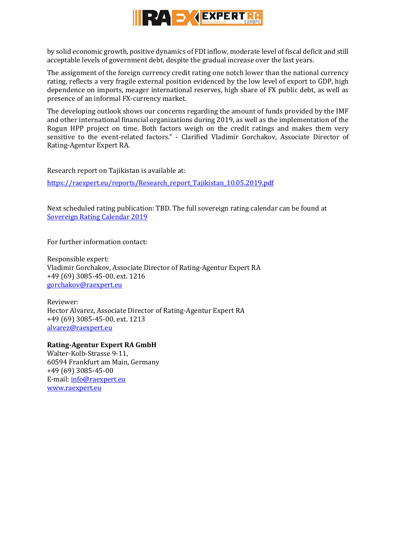

by solid economic growth, positive dynamics of FDI inflow, moderate level of fiscal deficit and still acceptable levels of government debt, despite the gradual increase over the last years.

The assignment of the foreign currency credit rating one notch lower than the national currency rating, reflects a very fragile external position evidenced by the low level of export to GDP, high dependence on imports, meager international reserves, high share of FX public debt, as well as presence of an informal FX-currency market.

The developing outlook shows our concerns regarding the amount of funds provided by the IMF and other international financial organizations during 2019, as well as the implementation of the Rogun HPP project on time. Both factors weigh on the credit ratings and makes them very sensitive to the event-related factors." - Clarified Vladimir Gorchakov, Associate Director of Rating-Agentur Expert RA.

Research report on Tajikistan is available at:

[https://raexpert.eu/reports/Research\\_report\\_Tajikistan\\_10.05.2019.pdf](https://raexpert.eu/reports/Research_report_Tajikistan_10.05.2019.pdf)

Next scheduled rating publication: TBD. The full sovereign rating calendar can be found at [Sovereign Rating Calendar 2019](https://raexpert.eu/sovereign/#conf-tab-5)

For further information contact:

Responsible expert: Vladimir Gorchakov, Associate Director of Rating-Agentur Expert RA +49 (69) 3085-45-00, ext. 1216 [gorchakov@raexpert.eu](mailto:gorchakov@raexpert.eu)

Reviewer: Hector Alvarez, Associate Director of Rating-Agentur Expert RA +49 (69) 3085-45-00, ext. 1213 [alvarez@raexpert.eu](mailto:alvarez@raexpert.eu)

## **Rating-Agentur Expert RA GmbH**

Walter-Kolb-Strasse 9-11, 60594 Frankfurt am Main, Germany +49 (69) 3085-45-00 E-mail[: info@raexpert.eu](mailto:info@raexpert.eu) [www.raexpert.eu](http://raexpert.eu/)